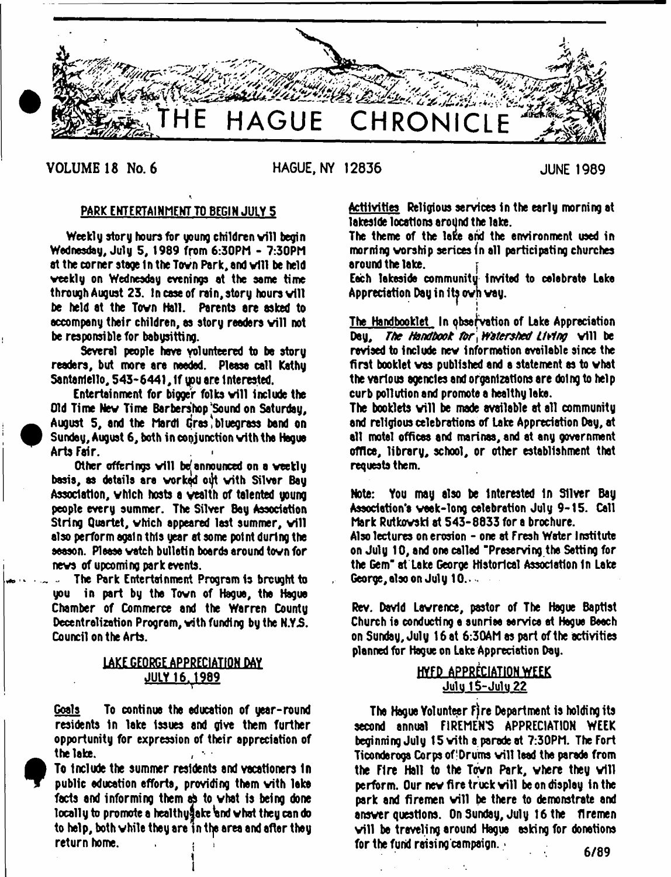

VOLUME 18 No. 6

 $\bullet$ 

**HAGUE, NY 12836 JUNE 1989**

# PARK ENTERTAINMENT TO BEGIN JULY 5

Weekly story hours for young children will begin Wednesday, July 5, 1989 from 6:30PM - 7:30PM at the corner stage in the Town Park, and will be held veekly on Wednesday evenings at the same time through August 23. In case of rain, story hours will be held at the Tovn Hall. Parents are asked to accompany their children, as story readers will not be responsible tor babysitting.

Several people hove volunteered to be story readers, but more are needed. Please call Kathy 5antanlello, 543-6441, If you are interested.

Entertainment for bigger folks will include the Old Time New Time Barbershop'Sound on Saturday, August 5, and the Mardi Gras, bluegrass band on Sunday, August 6, both in conjunction vith the Hague Arts Fair.

Other offerings will be announced on a weekly basis, as details are worked out with Silver Bay Association, which hosts a wealth of talented young people every summer. The Silver Bay Association String Quartet, which appeared last summer, will also perform again this year at some potnt during the season. Please vatch bulletin boards around tovn for nevs of upcoming park events.

The Park Entertainment Program is brought to you in part by the Tovn of Hague, the Hague Chamber of Commerce and the Warren County Decentralization Program, vith funding by the N.Y.S. Council on the Arts.

# LAKE GEORGE APPRECIATION DAY JULY 16.1989

Goals To continue the education of year-round residents In lake Issues and give them further opportunity for expression of their appreciation of the lake.

To Include the summer residents and vacationers In public education efforts, providing them with lake facts and informing them  $\phi$  to what is being done locally to promote a healthy ake and what they can do to help, both while they are in the area and after they return home.

i

Activities Religious services in the early morning at lakeside locations around the lake.

The theme of the lake and the environment used in morning worship serices in all participating churches around the lake.

Each lakeside community Invited to celebrate Lake Appreciation Day in its own way.

!<br>!

The Handbooklet In observation of Lake Appreciation Day, *The Handbook for Watershed Living* vill be revised to include nev information available since the first booklet vas published and a statement as to vhat the various agencies and organizations are doing to help curb pollution and promote a healthy lake.

The booklets will be made available at all community and religious celebrations of Lake Appreciation Day, at all motel offices and marinas, snd at any government office, library, school, or other establishment that requests them.

Note: You may also be Interested in Silver Bay Association's vaek-long celebration July 9-15. Call Mark Rutkovski at 543-8833 for a brochure.

Also lectures on erosion - one at fresh Water Institute on July 10, and one called 'Preserving the Setting for the Gem" at Lake George Historical Association In Lake George, also on July 10..........

Rev. David Lavrence, pastor of The Hague Baptist Church is conducting s sunrise service et Hague Beach on Sunday, July 16 at 6:30AM as part of the activities planned tor Hague on Lake Appreciation Day.

# HYfP APPRECIATION WEEK Juiu iS-Julu 22

The Hague Volunteer Fire Department is holding its second annual FIREMEN'S APPRECIATION WEEK beginning July 15 vith a parade at 7:30PM. The Fort Ticonderoga Corps of Drums will lead the parade from the Fire Hall to the Town Park, where they will perform. Our new fire truck will be on display in the park and firemen will be there to demonstrate and ensver questions. OnSunday, July 16the firemen will be traveling around Hague esking for donations for the fund raising campaign.  $\cdot$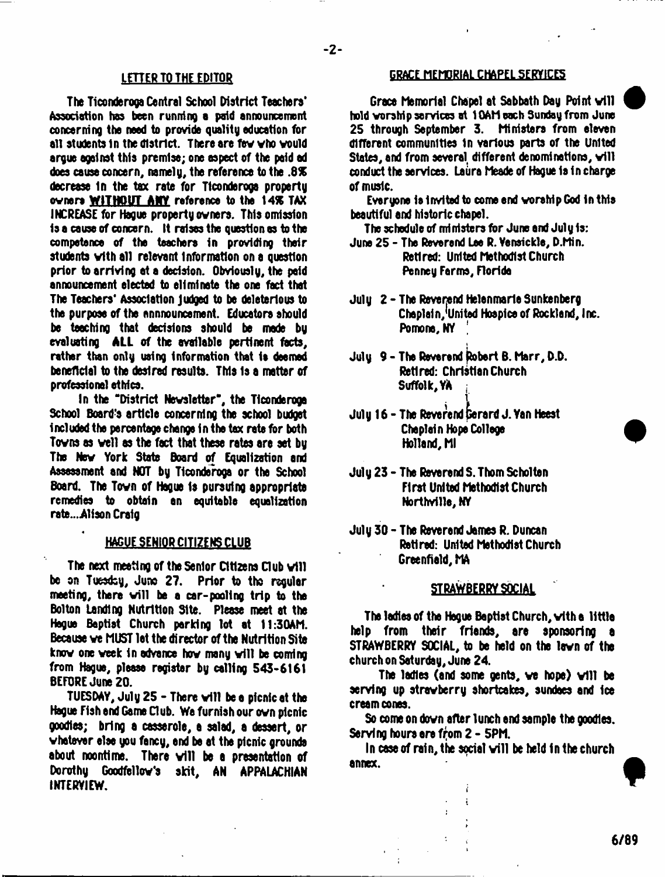The Ticonderoga Central School District Teachers' Association has been running a paid announcement concerning the need to provide quality education for all students in the district. There are few who would argue against this premise; one aspect of the paid ad does cause concern, namely, the reference to the .8% decrease In the tax rate for Tlconderoga property owners WITHOUT **ANY** reference to the 14\* TAX INCREASE for Hague property owners. This omission 1s a cause of concern. It raises the question as to the competence of the teachers in providing their students with all relevant Information on a question prior to arriving at a decision. Obviously, the paid announcement elected to eliminate the one fact that The Teachers' Association judged to be deleterious to the purpose of the announcement. Educators should be teaching that decisions should be made by evaluating **ALL** of the available pertinent facts, rather than only ueing information that is deemed beneficial to the desired results. This Is a matter of professional ethics.

In the ''District Newsletter", the Tlconderoga School Board's article concerning the school budget included the percentage change in the tax rate for both Towns as well as the fact that these rates are set by The New York State Board of Equalization and Assessment and NOT by Tlconderoga or the School Board. The Town of Hague Is pursuing appropriate remedies to obtain an equitable equalization rate...A1fson Craig

### HAGUE SENIOR CITIZENS CLUB

The next meeting of the Senior Citizens Club will be on Tuesdoy, Juno 27. Prior to tho regular meeting, there will be a car-pooling trip to the Bolton Landing Nutrition Site. Please meet at the Hague Baptist Church parking lot at 11:30AM. Because we MUST let the director of the Nutrition Site know one week in advance how many will be coming from Hague, please register by celling 543-6161 BEFORE June 20.

TUESDAY, July 25 - There will be a picnic at the Hague Fish and Game Club. We furnish our own picnic goodies; bring a casserole, a salad, a dessert, or whatever else you fancy, end be et the picnic grounds about noontime. There will be a presentation of Dorothy Goodfallow's skit, AN APPALACHIAN INTERVIEW.

# LETTER TO THE EDITOR GRACE MEMORIAL CHAPEL SERVICES

Grace Memorial Chapel at Sabbath Day Point will hold worship services at 10AM each Sunday from June 25 through September 3. Ministers from eleven different communities in various parts of the United States, and from several different denominations, will conduct the services. Laiire Meade of Hague Is in charge of music.

Everyone is Invited to come end worship God in this beautiful end historic chapel.

The schedule of ministers for June and July Is:

- June 25 The Reverend Lee R. Vensickle, D.Min. Retired: United Methodist Church Penney Farms, Florida
- July 2 The Reverend Helenmarle Sunkenberg Chaplain, United Hospice of Rockland, Inc. Pomona, NY *[*
- July 9 The Reverend |tobert B. Marr, D.D. Retired: Christian Church Suffolk, VA :
- . 1 July 16 - The Reverend perard J. Yen Heest Chaplain Hope College Holland, Ml
- July 23 The Reverend S. Thom Scholten First United Methodist Church Northville, NY
- July 30 The Reverend James R. Duncan Retired: United Methodist Church Greenfield, MA

#### STRAWBERRY SOCIAL

The ladies of the Hegue Baptist Church, with a little help from their friends, are sponsoring e STRAWBERRY SOCIAL, to be held on the lawn of the church on Saturday, June 24.

The ladies (and some gents, we hope) will be serving up strawberry shortcakes, sundaes and Ice cream cones.

So come on down after lunch end sample the goodies. Serving hours era from 2 - 5PM.

In case of rain, the social will be held in the church annex.

i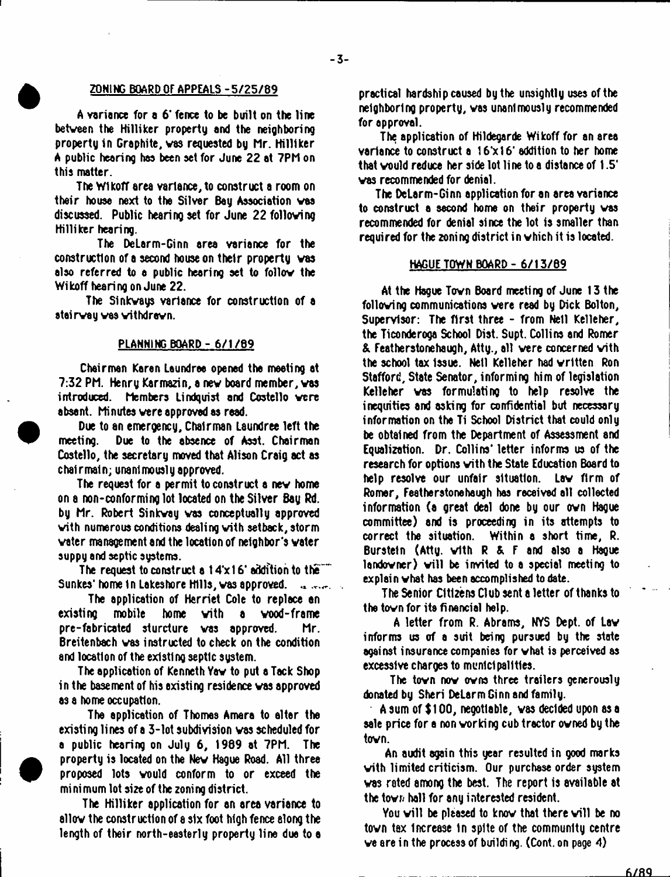# ZONING BOARD OF APPEALS -5/25/89

A variance for a 6' fence to be built on the line between the Hilliker property end the neighboring property in Graphite, was requested by Mr. Hilliker A public hearing has been set for June 22 at 7Ph on this matter.

The Wlkoff area variance, to construct a room on their house next to the Silver Bay Association was discussed. Public hearing set for June 22 following Hilliker hearing.

The DeLarm-Ginn area variance for the construction of a second house on their property was also referred to a public hearing set to follow the Wikoff hearing on June 22.

The Sinkways variance for construction of a steirway was withdrawn.

#### PLANNING BOARD - 6/1/69

Chairman Karen Leundree opened the meeting at 7:32 PM. Henry Karmazin, a new board member, was introduced. Members Lindquist and Costello were absent. Minutes were approved as read.

Due to an emergency. Chairman Laundree left the meeting. Due to the absence of Asst. Chairman Costello, the secretary moved that Alison Craig act as chalrmain; unanimously approved.

The request for a permit to construct a new home on a non-conforming lot located on the Silver Bay Rd. by Mr. Robert Sinkway was conceptually approved with numerous conditions dealing vith setback, storm water management and the location of neighbor's water suppy and septic systems.

The request to construct a 14'xf 6\* addition to the"" Sunkes' home in Lakeshore Hills, was approved.  $\mathbf{u}_i$  and  $\mathbf{v}_i$ 

The application of Harriet Cole to replace an existing mobile home with a wood-frame pre-fabricated sturcture was approved. Mr. Breitenbach was instructed to check on the condition and location of the existing septic system.

The application of Kenneth Yaw to put a Tack Shop in the basement of his existing residence was approved as a home occupation.

The application of Thomas Amara to alter the existing lines of a 3-lot subdivision was scheduled for a public hearing on July 6, 1989 at 7PM. The property is located on the New Hague Road. All three proposed lots would conform to or exceed the mi ni mum lot size of the zoning district.

The Hilliker application for an area variance to allow the construction of a six foot high fence along the length of their north-easterly property line due to a practical hardship caused by the unsightly uses of the neighboring property, was unanimously recommended for approval.

The application of Hildegarde Wikoff for an area variance to construct a 16'x16' addition to her home that would reduce her side lot line to a distance of 1.5' was recommended for denial.

The DeLarm-Ginn application for an area variance to construct a second home on their property was recommended for denial since the lot is smaller than required for the zoning district in which it is located.

#### HAGUE TOWN BOARD - 6/13/89

At the Hogue Town Board meeting of June 13 the following communications were read by Dick Bolton, Supervisor: The first three - from Nell Kelleher, the Ticonderoga School Dist. Supt. Collins and Romer & Featherstonehaugh, Atty., all were concerned with the school tax Issue. Nell Kelleher had written Ron Stafford, State Senator, informing him of legislation Kelleher was formulating to help resolve the inequities and asking for confidential but necessary information on the Ti School District that could only be obtained from the Department of Assessment and Equalization. Dr. Collins' letter informs us of the research for options with the State Education Board to help resolve our unfair situation. Law firm of Romer, Featherstonehaugh has received all collected information (a great deal done by our own Hague committee) and is proceeding in its attempts to correct the situation. Within a short time, R. Bursteln (Atty. with R & F and also a Hague landowner) will be invited to a special meeting to explain what has been accomplished to date.

The Senior Citizens Club sent a letter of thanks to the town for its financial help.

A letter from R. Abrams, NYS Dept, of Law informs us of a suit being pursued by the state against insurance companies for what is perceived as excessive charges to municipalities.

The town now owns three trailers generously donated by Sheri DeLerm Ginn and family.

A sum of \$ 100, negotiable, was decided upon as a sale price for a non working cub tractor owned by the town.

An audit again this year resulted in good marks with limited criticism. Our purchase order system was rated among the best. The report is available at the town hall for any interested resident.

You will be pleased to know that there will be no tovn tax Increase 1n spite of the community centre we are in the process of building. (Cont. on page 4)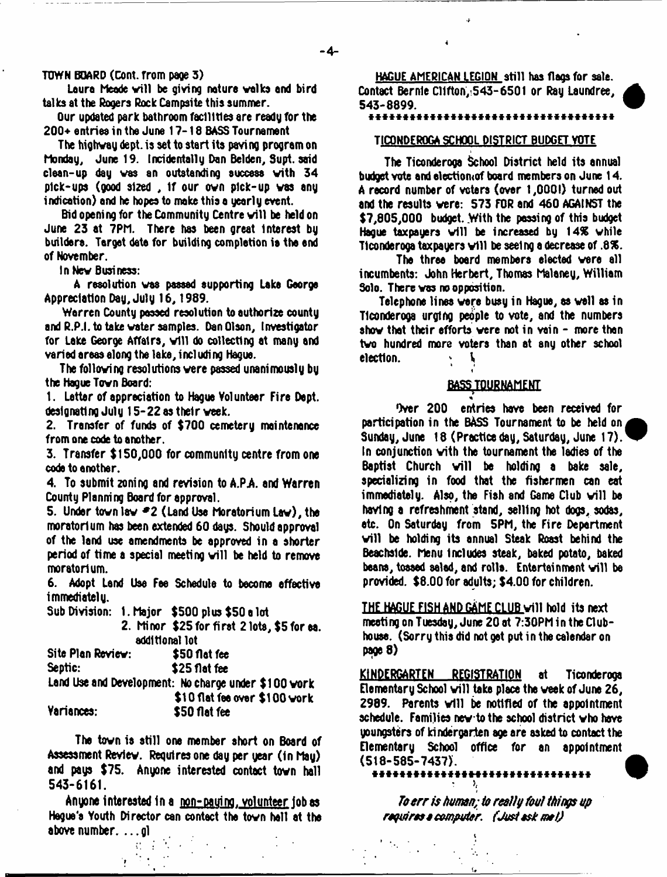$-4-$ 

# **TtJWN board (Cont. from page 3 )**

Laura Meade will be giving nature walks and bird talks at the Rogers Rock Campsite this summer.

Our updated park bathroom facilities are ready for the 200+ entries in the June 17-18 BASS Tournament

The highway dept, is set to start its paving program on Monday, June 19. Incidentally Don Belden, Supt. said clean-up day was an outstanding success vith 34 pick-ups (good sized , If our own pick-up was any indication) and he hopes to make this a yearly event.

Bid opening for the Community Centre will be held on June 23 at 7PM. There has been great Interest by builders. Target date for building completion is the end of November.

In Nev Business:

A resolution was passed supporting Lake George Appreciation Day, July 16, 1989.

Warren County passed resolution to authorize county and R.P.I. to take water samples. Dan Olson, Investigator for Lake George Affairs, will do collecting at many and varied areas along the lake, including Hague.

The following resolutions vere passed unanimously by the Hague Tovn Board:

1. Letter of appreciation to Hague Volunteer Fire Dept, designating July 15-22 as their veek.

2. Transfer of funds of \$700 cemetery maintenance from one code to another.

3. Transfer \$150,000 for community centre from one code to another.

4. To submit zoning and revision to A.P.A. and Warren County Planni ng Board for approval.

5. Under tovn lav *\*2* (Land Use Moratorium Lav), the moratorium has been extended 60 days. Should approval of the land use amendments be approved in a shorter period of time a special meeting will be held to remove moratorium.

6. Adopt Land Use Fee Schedule to become effective immediately.

Sub Division: 1. Major \$500 plus \$50 a lot

2. Minor \$25 for first 2 lots, \$5 for ea. additional lot

| Site Plan Review: | \$50 flat fee                                        |
|-------------------|------------------------------------------------------|
| Septic:           | \$25 flat fee                                        |
|                   | Land Use and Development: No charge under \$100 work |
|                   | \$10 flat fee over \$100 work                        |
| Variances:        | \$50 flat fee                                        |

The tovn is still one member short on Board of Assessment Reviev. Requires one day per year (in May) and pays \$75. Anyone interested contact tovn hall 543-6161.

Anyone interested in a non-nauino. volunteer iob as Hague's Youth Director can contact the tovn hell at the above number. ... gl

HAGUE AMERICAN LEGION still has flags for sale. Contact Bernle Clifton,:543-6501 or Ray Laundree,<br>543-8899. 543-8899. W

J-

1

# \* \* \* \* \* \* \* \* \* \* \* \* \* \* \* \* \* \* \* \* \* \* \* \* \* \* \* \* \* \* \* \* \* \* \* \*

#### TICONDEROGA SCHOOL DISTRICT BUDGET VOTE

The Ticonderoga School District held its annual budget vote and electiomof board members on June 14. A record number of voters (over 1,0001) turned out and the results vere: 573 FOR and 460 AGAINST the \$7,805,000 budget. With the passing of this budget Hague taxpayers will be increased by 14% while Ticonderoga taxpayers will be seeing a decrease of .8%.

The three board members elected vere all incumbents: John Herbert, Thomas Malaney, William Solo. There was no opposition.

Telephone lines were busy in Hague, as veil as in Ticonderoga urging people to vote, and the numbers show that their efforts were not in vain - more than two hundred more voters than at any other school election. *k* \**%*  $\mathbf{I}$ 

#### BASS TOURNAMENT \*

Over 200 entries have been received for participation in the BASS Tournament to be held on Sunday, June 18 (Practice day, Saturday, June 17). In conjunction vith the tournament the ladies of the Baptist Church will be holding a bake sale, specializing in food that the fishermen can eat immediately. Also, the Fish and Game Club will be having a refreshment stand, selling hot dogs, sodas, etc. On Saturday from 5PM, the Fire Department will be holding its annual Steak Roast behind the Beachslde. Menu includes steak, baked potato, baked beans, tossed salad, and rolls. Entertainment will be provided. \$8.00 for adults; \$4.00 for children.

THE HAGUE FISH AND GAME CLUB will hold its next meeting on Tuesday, June 20 at 7:30PM in the Clubhouse. (Sorry this did not get put in the calendar on page 8)

KINDERGARTEN REGISTRATION at Ticonderoga Elementary School will take place the week of June 26,  $2989.$  Parents will be notified of the appointment schedule. Families nev to the school district who have youngsters of kindergarten age are asked to contact the Elementary School office for an appointment (518-585-7437). A

 $\cdot$   $\cdot$   $\cdot$ 

*To err is human; to realty foul things up retires a computer f Just ask mat)*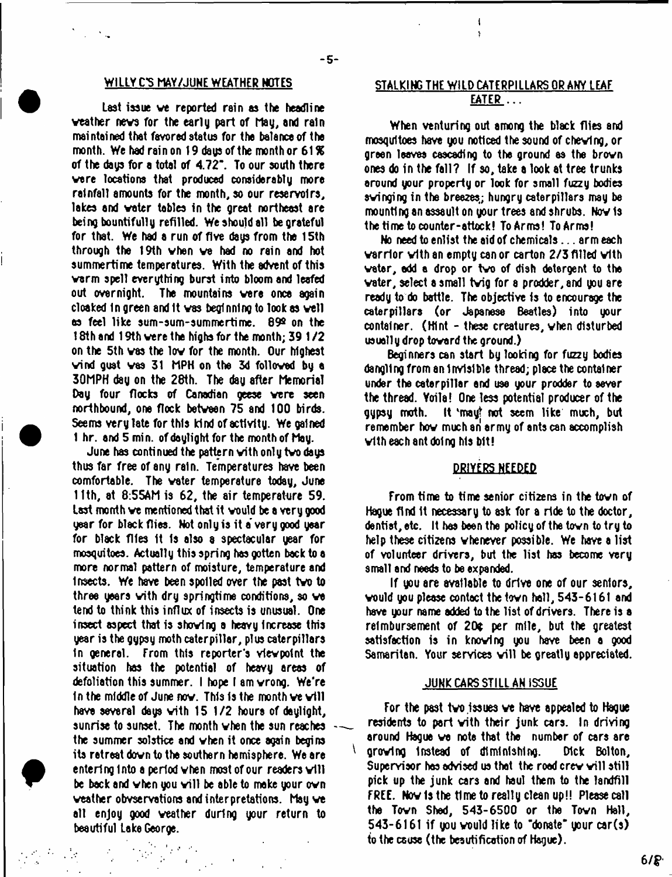$-5-$ 

Last issue ve reported rain as the headline veather nevs for the early part of May, and rain maintained that favored status for the balance of the month. We had rain on 19 days of the month or  $61%$ of the days for a total of 4.72". To our south there vere locations that produced considerably more rainfall amounts for the month, so our reservoirs, lakes and voter tables in the great northeast are being bountifully refilled. We should all be grateful for that. We had a run of five days from the 15th through the 19th vhen ve had no rain and hot summertime temperatures. With the advent of this varm spell everything burst into bloom and leafed out overnight. The mountains vara once again cloaked In green and It vas beginning to look as veil as feel like sum-sum-summertime. 89® on the 18th and 19th vere the highs for the month; 39 1 /2 on the 5th vas the lov for the month. Our highest vind gust vas 31 HPH on the 3d folloved by a 30MPH day on the 28th. The day after Memorial Day four flocks of Canadian geese vere seen northbound, one flock betveen 75 and 100 birds. Seems very late for this kind of activity. We gained 1 hr. and 5 min. of daylight for the month of May.

June has conti nued the pattern vith onl y tvo days thus far free of any rain. Temperatures have been comfortable. The voter temperature today, June 11th, at 8:55AM is 62, the air temperature 59. Last month ve mentioned that it vould be a very good year for black flies. Not only is it a' very good year for black flies It Is also a spectacular year for mosquitoes. Actually this spring has gotten back to a more normal pattern of moisture, temperature and Insects. We have been spoiled over the past tvo to three yeers vith dry springtime conditions, so ve tend to think this influx of insects is unusual. One insect aspect that is shoving a heavy Increase this year is the gypsy moth caterpillar, plus caterpillars In general. From this reporter's vievpotnt the situation has the potential of heavy areas of defoliation this summer. I hope I am vrong. We're In the middle of June now. This is the month we will have several days vith 15 1/2 hours of daylight, sunrise to sunset. The month vhen the sun reaches the summer solstice and vhen it once again begins its retraat dovn to the southern hemisphere. We are entering into a period when most of our readers will be back and when you will be able to make your own veather obvservations and interpretations. May ve all enjoy good veather during your return to beautiful Lake George.

# WILLY C'S MAY/JUNE WEATHER NOTES STALKING THE WILD CATERPILLARS OR ANY LEAF EATER....

÷

When venturing out among the black flies and mosquitoes have you noticed the sound of chevtng, or green leaves cascading to the ground as the brovn ones do in the fall? If so, take a look at tree trunks around your property or look for small fuzzy bodies svinging in the breezes,; hungry caterpillars may be mounting an assault on your trees and shrubs. Nov 1s the time to counter-attack! To Arms! To Arms!

No need to enlist the aid of chemicals... arm each varrior vith an empty can or carton 2/3 filled vith veter, add a drop or tvo of dish detergent to the vater, select a small tvig for a prodder, and you are ready to do battle. The objective Is to encourage the caterpillars (or Japanese Beatles) into your container. (Hint - these creatures, vhen disturbed usually drop tovard the ground.)

Beginners can start by looking for fuzzy bodies dangling from an Invisible thread; place the container under the caterpillar and use your prodder to sever the thread. Yoila! One less potential producer of the gypsy moth. It vmayt not seem like much, but remember hov much an army of ants can accomplish vith each ant doing his bit!

## DRIVERS NEEDED

From time to time senior citizens in the tovn of Hague find It necessary to ask for a ride to the doctor, dentist, etc. It has been the policy of the tovn to try to help these citizens vheneyer possible. We have a list of volunteer drivers, but the list has become very small and needs to be expanded.

If you are available to drive one of our seniors, vould you please contact the tovn hall, 543-6161 and have your name added to the list of drivers. There is a reimbursement of 20¢ per mile, but the greatest satisfaction is in knovlng you have been a good Samaritan. Your services will be greatly appreciated.

#### JUNK CARS STILL AN ISSUE

For the past two issues we have appealed to Hague residents to part vith their junk cars. In driving around Hague ve note that the number of cars are grovlng Instead of diminishing. Dick Bolton, Supervisor has advised us that the road crew will still pick up the junk cars and haul them to the landfill FREE. Nov Is the time to really clean up!! Please call the Tovn Shad, 543-6500 or the Tovn Hall, 543-6161 if you vould like to "donate" your car(s) to the cause (the beautification of Hague).

Λ.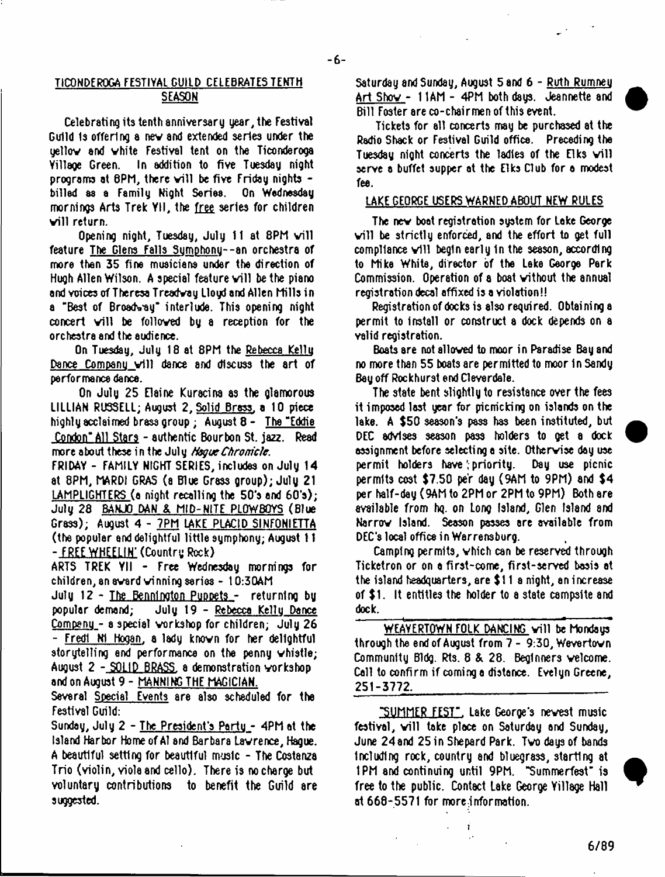## TICONDEROGA FESTIVAL GUILD CELEBRATES TENTH SEASON

Celebrating its tenth anniversary year, the Festival Guild 1s offering a nev and extended series under the yellov and vhite Festival tent on the Ticonderoga Yillage Green. In addition to five Tuesday night programs at 8PM, there will be five Friday nights -<br>billed as a Family Night Series. On Wednesday billed as a Family Night Series. mornings Arts Trek YII, the free series for children vill return.

Opening night, Tuesday, July 11 at 8PM will feature The Glens Falls Sumphonu--an orchestra of more then 35 fine musicians under the direction of Hugh Allen Wilson. A special feature will be the piano and voices of Theresa Treadvay Lloyd and Allen Mills in a "Best of Broadway" interlude. This opening night concert will be followed by a reception for the orchestra and the audience.

On Tuesday, July 18 at 8PM the Rebecca Kellu Dance Company will dance and discuss the art of performance dance.

On July 25 Elaine Kuracina as the glamorous LILLIAN RUSSELL; August 2. Solid Brass, a 10 piece highiy acclaimed brass group ; August 8 - The "Eddie Condon" All Stars - authentic Bourbon St. jazz. Read more about these in the July *HsgueChronicle.*

FRIDAY - FAMILY NIGHT SERIES, includes on July 14 at 8PM, MARDI GRAS (a Blue Grass group); July 21 LAMPLIGHTERS (a night recalling the 50's and 60's); July 28 BANJO DAN & MID-NITE PLOW BOYS (Blue Grass); August 4 - 7PM LAKE PLACID SINFQNIETTA (the popular and delightful little symphony; August 11 - FREEWHEELIN' (Country Rock)

ARTS TREK Yll - Free Wednesday mornings for children, an avard vinning series - 10:30AM

July 12 - <u>The Bennington Puppets</u> - returning by<br>popular demand: - July 19 - Rebecca Kelly Dance popular demand; July 19 - Rebecca Kellu Dance Companu - a special workshop for children; July 26 - Fredl N1 Hogan, a lady known for her delightful storytelling and performance on the penny whistle; August 2 - SOLID BRASS, a demonstration vorkshop and on August 9 - MANNING THE MAGICIAN.

Several Special Events are also scheduled for the Festival Guild:

Sunday, July 2 - The President's Party - 4PM at the Island Harbor Home of A1 and Barbara Lawrence, Hague. A beautiful setting for beautiful music - The Costanza Trio (violin, yiole and cello). There is no charge but voluntary contributions to benefit the Guild are suggested.

Saturday and Sunday, August 5 and 6 - Ruth Rumneu Art Shov - 11AM - 4PM both days. Jeannette and Bill Foster are co-chairmen of this event.

Tickets for ell concerts may be purchased at the Radio Shack or Festival Guild office. Preceding the Tuesday night concerts the ladies of the Elks will serve a buffet supper at the Elks Club for a modest fee.

#### LAKE GEORGE USERS WARNED ABOUT NEW RULES

The nev boat registration system for Lake George will be strictly enforced, and the effort to get full  ${\tt complete$  vill begin early in the season, according to Mike White, director of the Lake George Park Commission. Operation of a boat without the annual registration decal affixed is a violation!!

Registration of docks is also required. Obtaining a permit to Install or construct a dock depends on a valid registration.

Boats are not allowed to moor in Paradise Bay and no more than 55 boats are permitted to moor In Sandy Bey off Rockhurst end Cleverdale.

The state bent slightly to resistance over the fees it imposed last year for picnicking on islands on the lake. A \$50 season's pass has been instituted, but DEC advises season pass holders to get a dock assignment before selecting a site. Otherwise day use<br>permit -holders -have (priority, ---Day use --picnic permit holders have priority. permits cost \$7.50 per day (9AM to 9PM) and \$4 per half-day (9AM to 2PM or 2PM to 9PM) Both are available from hq. on Long Island, Glen Island and Narrow Island. Season passes are available from DEC'S local office in Warrensburg.

Camping permits, which can be reserved through Ticketron or on a first-come, first-served basis at the island headquarters, are \$11 a night, an increase of \$1. It entitles the holder to a state campsite and dock.

WEAVERTOWN FOLK DANCING will be Mondaus through the end of August from 7 - 9:30, Wevertovn Community Bldg. Rts. 8 & 28. Beginners welcome. Call to confirm if coming a distance. Evelyn Greene, 251-3772. .

"SUMMER FE5T". Lake George's newest music festival, will take place on Saturday and Sunday, June 24 and 25 in Shepard Park. Two days of bands Including rock, country and bluegrass, starting at 1PM and continuing until 9PM. "Summerfest" is free to the public. Contact Lake George Yillage Hall at 668-5571 for more.information.

6/89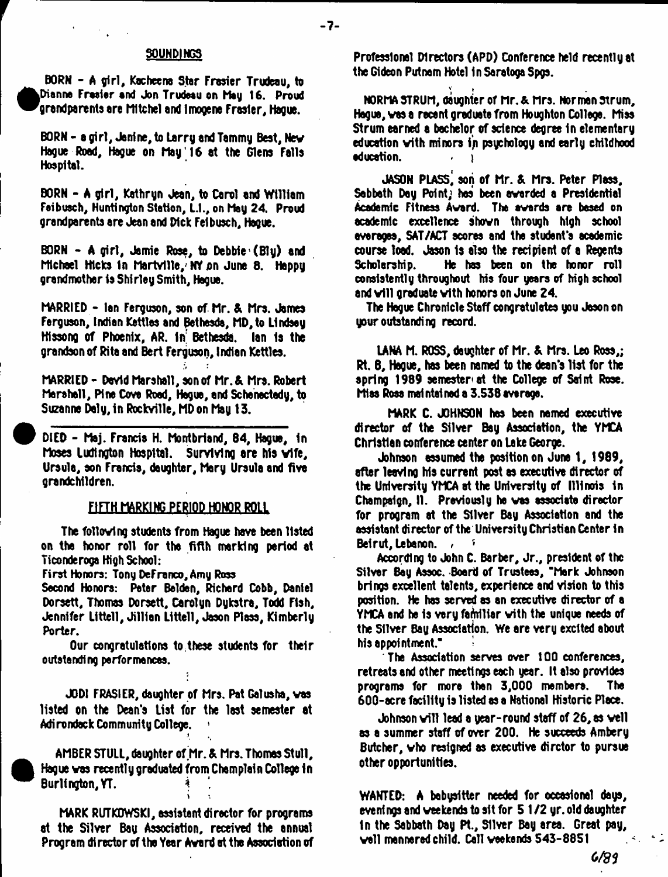#### SOUNDINGS

- 7 -

BORN - A girl, Kacheena Star Frasier Trudeau, to Dianne Fraaiar and Jon Trudeau on May 16. Proud grandparents are Mltchel and Imogens Frasier, Hague.

BORN - a girl, Jenine, to Larry and Tammy Best, Nev Hague Road, Hague on May'16 at the Glens Falls Hospital.

BORN - A girl, Kathryn Jean, to Carol and William Faibuach, Huntington Station, L.I., on Hay 24. Proud grandparents are Jean and Dick Felbusch, Hague.

BORN  $-$  A girl, Jamie Rose, to Debbie (Ely) and Michael Hicks in Martville, NY on June 8. Happy grandmother is Shirley Smith, Hague.

MARRIED - Ian Ferguson, son of Mr. & Mrs. James Ferguson, Indian Kettles and Bethesda, MD,to Lindsey Hissong of Phoenix, AR. In' Bethesda. Ian 1s the grandson of Rita and Bert Ferguson, Indian Kettles.

MARRIED - David Marshall, son of Mr. & Mrs. Robert Marshall, Pina Cove Road, Hague, and Schenectady, to Suzanne Daly, In Rockville, MD on May 13.

DIED - Maj. Francis H. Montbrland, 84, Hague, 1n Moses Ludlngton Hospital. Surviving are his vlfe, Ursula, son Francis, daughter, Mary Ursula and five grandchildren.

#### FIFTH MARKING PERIOD HONOR ROLL

The follovlng students from Hague have been listed on the honor roll for the fifth marking period at Ticonderoga High School:

First Honors: Tony DeFranco,Amy Ross

Second Honors: Peter Belden, Richard Cobb, Daniel Dorsett, Thomas Dorsett, Carolyn Dykstra, Todd Fish, Jennifer Llttell, Jillien Llttell, Jason Plass, Kimberly Porter.

Our congratulations to these students for their outstanding performances.

JODI FRASIER, daughter of Mrs. Pat Galusha, vas listed on the Dean's List for the last semester at Adirondack Community College.

AMBER STULL, daughter of Mr. & Mrs. Thomas Stull, Hague vas recently graduated from Champlain College In Burlington, YT. i

MARK RUTKOWSKI, assistant director for programs at the Silver Bau Association, received the annual Program director of the Year Award et the Association of

Professional Directors (APD) Conference held recently at the Gideon Putnam Hotel In Saratoga Spgs.

! NORMA STRUM, daughter of Mr. & Mrs. Norman strum, Hague, vas a recent graduate from Houghton College. Miss Strum earned a bachelor of science degree In elementary education vith minors ip psychology and early childhood education.

JASON PLASS, son of Mr. & Mrs. Peter Plass, Sabbath Day Point; has been awarded a Presidential Academic Fitness Award. The awards are based on academic excellence shown through high school averages, SAT/ACT scores and the student's academic course load. Jason Is also the recipient of a Regents Scholarship. He has been on the honor roll consistently throughout his four years of high school and will graduate with honors on June 24.

The Hogue Chronicle Staff congratulates you Jason on your outstanding record.

UNA M. ROSS, daughter of Mr. & Mrs. Leo Ross,; Rt. 8, Hague, has been named to the dean's list for the spring 1989 semester at the College of Saint Rose. Miss Ross mai ntal ned a 3.538 average.

MARK C. JOHNSON has been named executive director of the Silver Bay Association, the YMCA Christian conference center on Lake George.

Johnson assumed the position on June 1, 1989, after leaving his current post as executive director of the University YMCA at the University of Illinois In Champaign, II. Previously he vas associate director for program at the Silver Bay Association and the assistant director of the University Christian Center In Beirut, Lebanon, , , , ,

According to John C. Barber, Jr., president of the Silver Bay Assoc. Board of Trustees, "Mark Johnson brings excellent talents, experience and vision to this position. He has served as an executive director of a YMCA and he is very familiar with the unique needs of the Silver Bay Association. We are very excited about his appointment."

The Association serves over 100 conferences, retreats and other meetings each year. It also provides programs for mors than 3,000 members. The 600-acre facility is listed as a National Historic Place.

Johnson will lead a year-round staff of 26, as well as a summer staff of over 200. He succeeds Ambery Butcher, vho resigned as executive dirctor to pursue other opportunities.

WANTED: A babysitter needed for occasional days, evenings and weekends to sit for 5 1 /2 yr. old daughter In the Sabbath Day Pt., Silver Bay area. Great pay, veil mannered child. Call weekends 543-8851